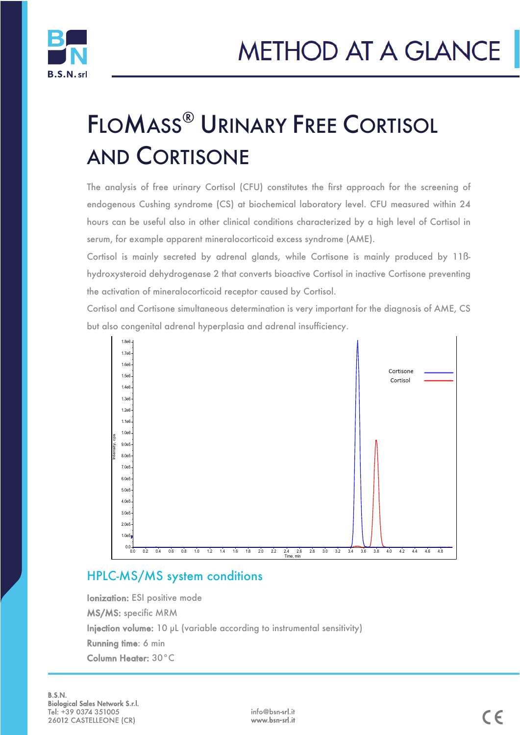

# FLOMASS® URINARY FREE CORTISOL AND CORTISONE

The analysis of free urinary Cortisol (CFU) constitutes the first approach for the screening of endogenous Cushing syndrome (CS) at biochemical laboratory level. CFU measured within 24 hours can be useful also in other clinical conditions characterized by a high level of Cortisol in serum, for example apparent mineralocorticoid excess syndrome (AME).

Cortisol is mainly secreted by adrenal glands, while Cortisone is mainly produced by 11ßhydroxysteroid dehydrogenase 2 that converts bioactive Cortisol in inactive Cortisone preventing the activation of mineralocorticoid receptor caused by Cortisol.

Cortisol and Cortisone simultaneous determination is very important for the diagnosis of AME, CS but also congenital adrenal hyperplasia and adrenal insufficiency.



### HPLC-MS/MS system conditions

Ionization: ESI positive mode MS/MS: specific MRM Injection volume: 10 µL (variable according to instrumental sensitivity) Running time: 6 min Column Heater: 30°C

i<br>I